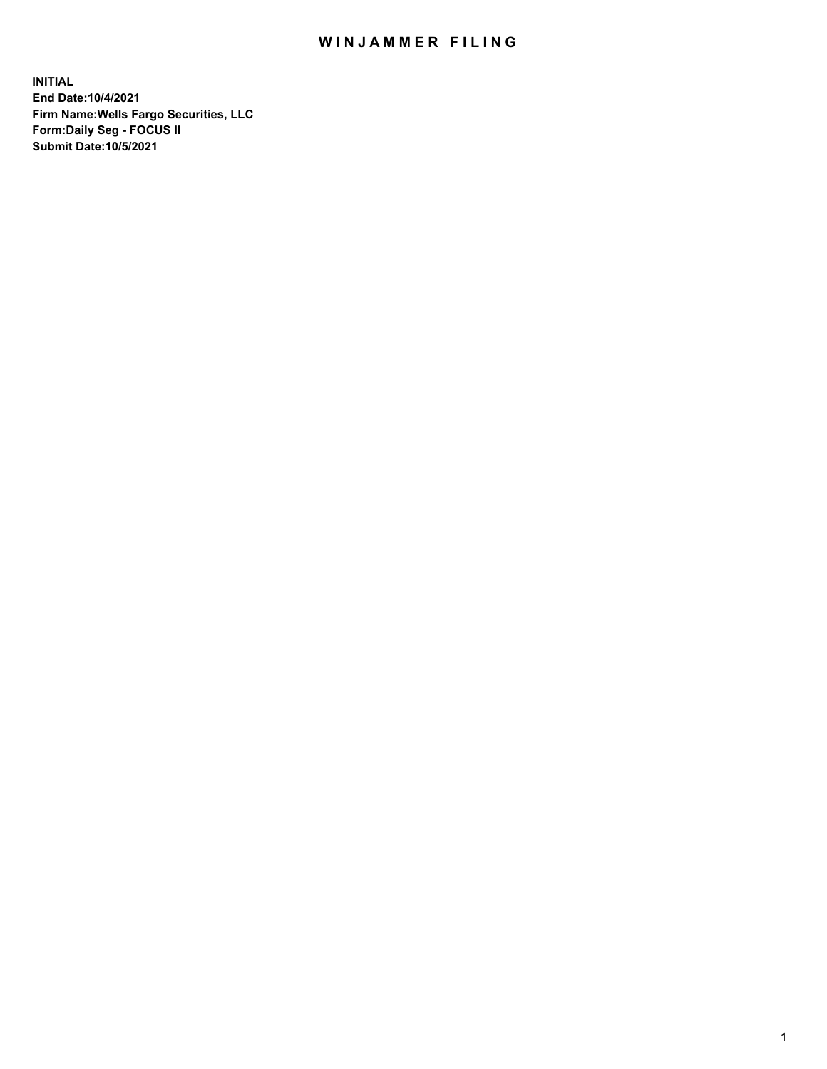## WIN JAMMER FILING

**INITIAL End Date:10/4/2021 Firm Name:Wells Fargo Securities, LLC Form:Daily Seg - FOCUS II Submit Date:10/5/2021**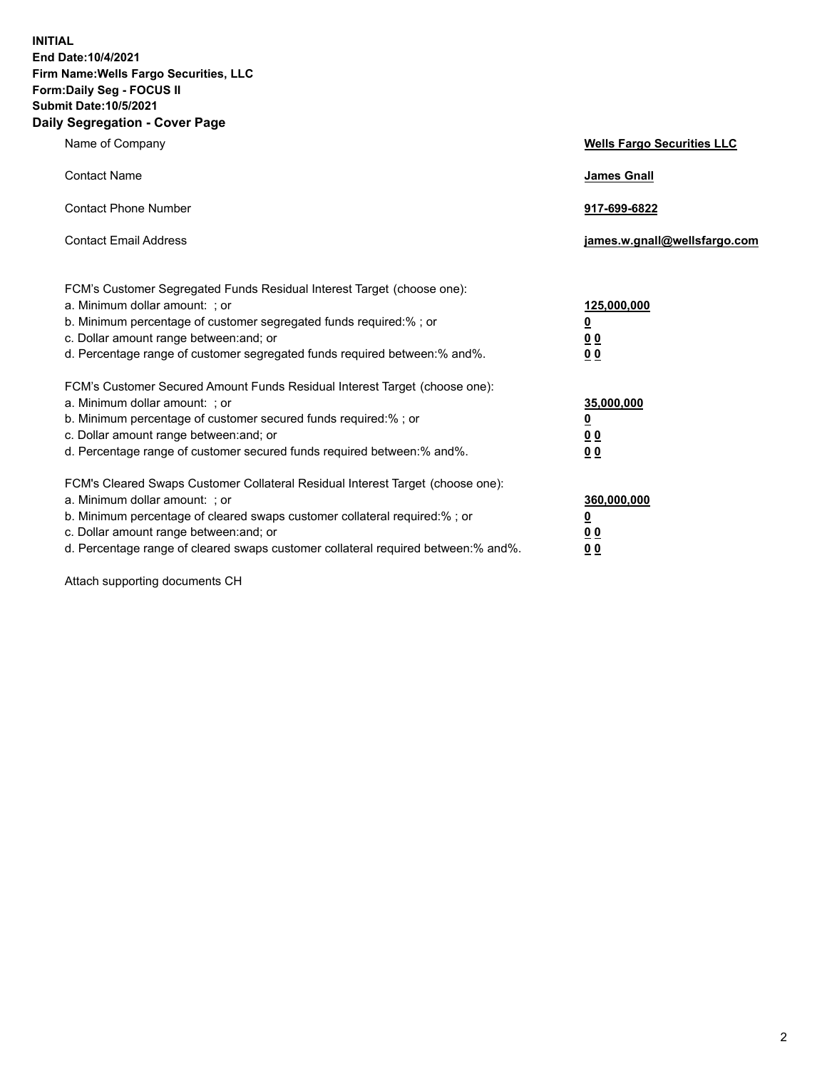**INITIAL End Date:10/4/2021 Firm Name:Wells Fargo Securities, LLC Form:Daily Seg - FOCUS II Submit Date:10/5/2021 Daily Segregation - Cover Page**

| Name of Company                                                                                                                                                                                                                                                                                                                | <b>Wells Fargo Securities LLC</b>                           |
|--------------------------------------------------------------------------------------------------------------------------------------------------------------------------------------------------------------------------------------------------------------------------------------------------------------------------------|-------------------------------------------------------------|
| <b>Contact Name</b>                                                                                                                                                                                                                                                                                                            | <b>James Gnall</b>                                          |
| <b>Contact Phone Number</b>                                                                                                                                                                                                                                                                                                    | 917-699-6822                                                |
| <b>Contact Email Address</b>                                                                                                                                                                                                                                                                                                   | james.w.gnall@wellsfargo.com                                |
| FCM's Customer Segregated Funds Residual Interest Target (choose one):<br>a. Minimum dollar amount: ; or<br>b. Minimum percentage of customer segregated funds required:% ; or<br>c. Dollar amount range between: and; or<br>d. Percentage range of customer segregated funds required between:% and%.                         | 125,000,000<br><u>0</u><br>0 <sub>0</sub><br>0 <sub>0</sub> |
| FCM's Customer Secured Amount Funds Residual Interest Target (choose one):<br>a. Minimum dollar amount: ; or<br>b. Minimum percentage of customer secured funds required:%; or<br>c. Dollar amount range between: and; or<br>d. Percentage range of customer secured funds required between:% and%.                            | 35,000,000<br><u>0</u><br>00<br>0 <sub>0</sub>              |
| FCM's Cleared Swaps Customer Collateral Residual Interest Target (choose one):<br>a. Minimum dollar amount: ; or<br>b. Minimum percentage of cleared swaps customer collateral required:% ; or<br>c. Dollar amount range between: and; or<br>d. Percentage range of cleared swaps customer collateral required between:% and%. | 360,000,000<br><u>0</u><br>0 <sub>0</sub><br>0 <sub>0</sub> |

Attach supporting documents CH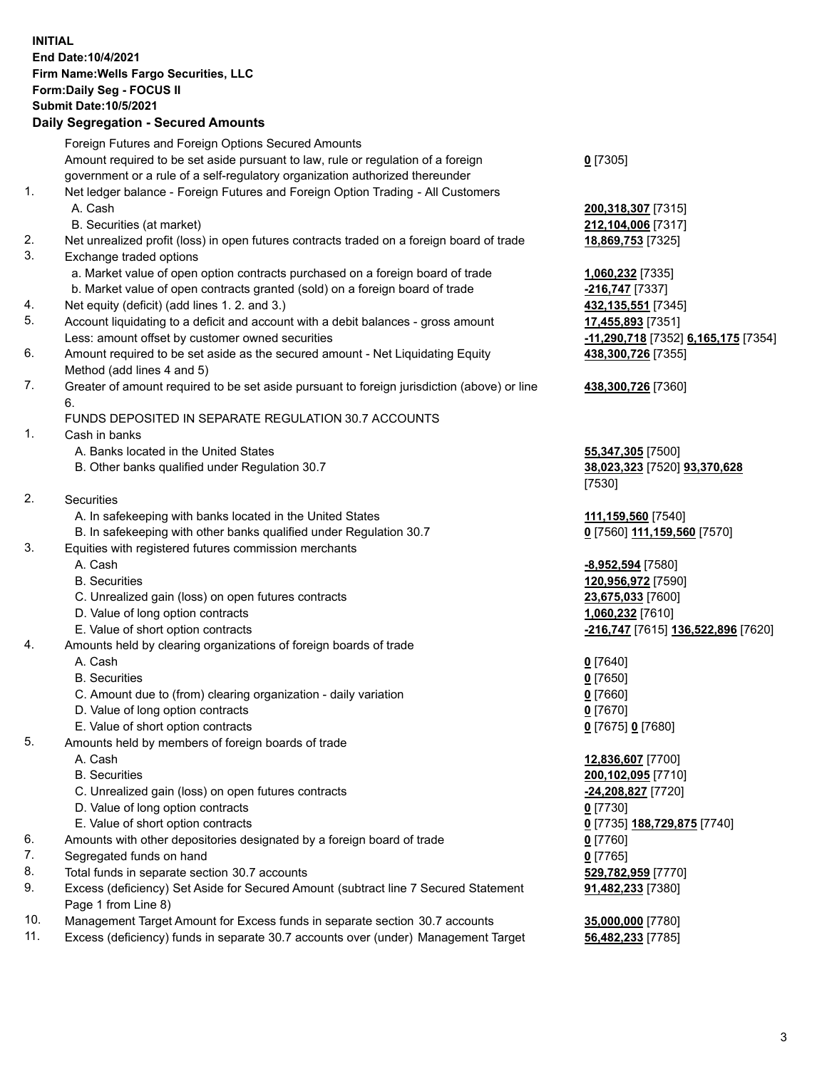**INITIAL End Date:10/4/2021 Firm Name:Wells Fargo Securities, LLC Form:Daily Seg - FOCUS II Submit Date:10/5/2021**

## **Daily Segregation - Secured Amounts**

|           | Foreign Futures and Foreign Options Secured Amounts                                         |                                     |
|-----------|---------------------------------------------------------------------------------------------|-------------------------------------|
|           | Amount required to be set aside pursuant to law, rule or regulation of a foreign            | $0$ [7305]                          |
|           | government or a rule of a self-regulatory organization authorized thereunder                |                                     |
| 1.        | Net ledger balance - Foreign Futures and Foreign Option Trading - All Customers             |                                     |
|           | A. Cash                                                                                     | 200,318,307 [7315]                  |
|           | B. Securities (at market)                                                                   | 212,104,006 [7317]                  |
| 2.        | Net unrealized profit (loss) in open futures contracts traded on a foreign board of trade   | 18,869,753 [7325]                   |
| 3.        | Exchange traded options                                                                     |                                     |
|           | a. Market value of open option contracts purchased on a foreign board of trade              | 1,060,232 [7335]                    |
|           | b. Market value of open contracts granted (sold) on a foreign board of trade                | -216,747 <sup>[7337]</sup>          |
| 4.        | Net equity (deficit) (add lines 1. 2. and 3.)                                               | 432,135,551 [7345]                  |
| 5.        | Account liquidating to a deficit and account with a debit balances - gross amount           | 17,455,893 [7351]                   |
|           | Less: amount offset by customer owned securities                                            | -11,290,718 [7352] 6,165,175 [7354] |
| 6.        | Amount required to be set aside as the secured amount - Net Liquidating Equity              | 438,300,726 [7355]                  |
|           | Method (add lines 4 and 5)                                                                  |                                     |
| 7.        | Greater of amount required to be set aside pursuant to foreign jurisdiction (above) or line | 438,300,726 [7360]                  |
|           | 6.                                                                                          |                                     |
|           | FUNDS DEPOSITED IN SEPARATE REGULATION 30.7 ACCOUNTS                                        |                                     |
| 1.        | Cash in banks                                                                               |                                     |
|           | A. Banks located in the United States                                                       | 55,347,305 [7500]                   |
|           | B. Other banks qualified under Regulation 30.7                                              | 38,023,323 [7520] 93,370,628        |
|           |                                                                                             | [7530]                              |
| 2.        | <b>Securities</b>                                                                           |                                     |
|           | A. In safekeeping with banks located in the United States                                   | 111,159,560 [7540]                  |
|           | B. In safekeeping with other banks qualified under Regulation 30.7                          | 0 [7560] 111,159,560 [7570]         |
| 3.        | Equities with registered futures commission merchants                                       |                                     |
|           | A. Cash                                                                                     | <u>-8,952,594</u> [7580]            |
|           | <b>B.</b> Securities                                                                        | 120,956,972 [7590]                  |
|           | C. Unrealized gain (loss) on open futures contracts                                         | 23,675,033 [7600]                   |
|           | D. Value of long option contracts                                                           | 1,060,232 [7610]                    |
|           | E. Value of short option contracts                                                          | -216,747 [7615] 136,522,896 [7620]  |
| 4.        | Amounts held by clearing organizations of foreign boards of trade                           |                                     |
|           | A. Cash                                                                                     | $0$ [7640]                          |
|           | <b>B.</b> Securities                                                                        | $0$ [7650]                          |
|           | C. Amount due to (from) clearing organization - daily variation                             | $0$ [7660]                          |
|           | D. Value of long option contracts                                                           | $0$ [7670]                          |
|           | E. Value of short option contracts                                                          | 0 [7675] 0 [7680]                   |
| 5.        | Amounts held by members of foreign boards of trade                                          |                                     |
|           | A. Cash                                                                                     | 12,836,607 [7700]                   |
|           | <b>B.</b> Securities                                                                        | 200,102,095 [7710]                  |
|           | C. Unrealized gain (loss) on open futures contracts                                         | -24,208,827 [7720]                  |
|           | D. Value of long option contracts                                                           | $0$ [7730]                          |
|           | E. Value of short option contracts                                                          | 0 [7735] 188,729,875 [7740]         |
| 6.        | Amounts with other depositories designated by a foreign board of trade                      | 0 [7760]                            |
| 7.        | Segregated funds on hand                                                                    | $0$ [7765]                          |
| 8.        | Total funds in separate section 30.7 accounts                                               | 529,782,959 [7770]                  |
| 9.        | Excess (deficiency) Set Aside for Secured Amount (subtract line 7 Secured Statement         | <b>91,482,233</b> [7380]            |
|           | Page 1 from Line 8)                                                                         |                                     |
| $10^{-1}$ | Managament Target Amount for Excess fundo in concrete section 20.7 secounts                 | <b>25 000 000 177001</b>            |

- 10. Management Target Amount for Excess funds in separate section 30.7 accounts **35,000,000** [7780]
- 11. Excess (deficiency) funds in separate 30.7 accounts over (under) Management Target **56,482,233** [7785]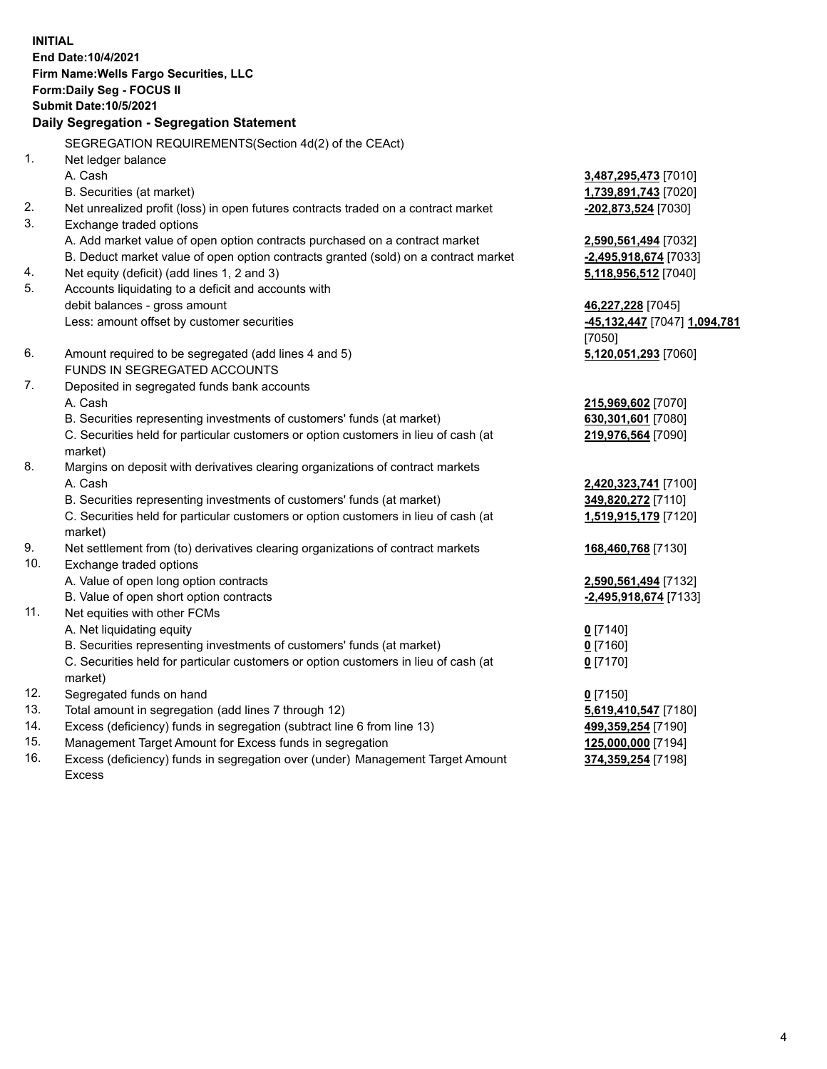**INITIAL End Date:10/4/2021 Firm Name:Wells Fargo Securities, LLC Form:Daily Seg - FOCUS II Submit Date:10/5/2021**

## **Daily Segregation - Segregation Statement**

SEGREGATION REQUIREMENTS(Section 4d(2) of the CEAct)

|     | SEGREGATION REQUIREMENTS(SECTION 40(2) OF THE CEACH                                 |                              |
|-----|-------------------------------------------------------------------------------------|------------------------------|
| 1.  | Net ledger balance                                                                  |                              |
|     | A. Cash                                                                             | 3,487,295,473 [7010]         |
|     | B. Securities (at market)                                                           | 1,739,891,743 [7020]         |
| 2.  | Net unrealized profit (loss) in open futures contracts traded on a contract market  | $-202,873,524$ [7030]        |
| 3.  | Exchange traded options                                                             |                              |
|     | A. Add market value of open option contracts purchased on a contract market         | 2,590,561,494 [7032]         |
|     | B. Deduct market value of open option contracts granted (sold) on a contract market | -2,495,918,674 [7033]        |
| 4.  | Net equity (deficit) (add lines 1, 2 and 3)                                         | 5,118,956,512 [7040]         |
| 5.  | Accounts liquidating to a deficit and accounts with                                 |                              |
|     | debit balances - gross amount                                                       | 46,227,228 [7045]            |
|     | Less: amount offset by customer securities                                          | -45,132,447 [7047] 1,094,781 |
|     |                                                                                     | [7050]                       |
| 6.  | Amount required to be segregated (add lines 4 and 5)                                | 5,120,051,293 [7060]         |
|     | FUNDS IN SEGREGATED ACCOUNTS                                                        |                              |
| 7.  | Deposited in segregated funds bank accounts                                         |                              |
|     | A. Cash                                                                             | 215,969,602 [7070]           |
|     | B. Securities representing investments of customers' funds (at market)              | 630,301,601 [7080]           |
|     | C. Securities held for particular customers or option customers in lieu of cash (at | 219,976,564 [7090]           |
|     | market)                                                                             |                              |
| 8.  | Margins on deposit with derivatives clearing organizations of contract markets      |                              |
|     | A. Cash                                                                             | 2,420,323,741 [7100]         |
|     | B. Securities representing investments of customers' funds (at market)              | 349,820,272 [7110]           |
|     | C. Securities held for particular customers or option customers in lieu of cash (at | 1,519,915,179 [7120]         |
|     | market)                                                                             |                              |
| 9.  | Net settlement from (to) derivatives clearing organizations of contract markets     | 168,460,768 [7130]           |
| 10. | Exchange traded options                                                             |                              |
|     | A. Value of open long option contracts                                              | 2,590,561,494 [7132]         |
|     | B. Value of open short option contracts                                             | -2,495,918,674 [7133]        |
| 11. | Net equities with other FCMs                                                        |                              |
|     | A. Net liquidating equity                                                           | $0$ [7140]                   |
|     | B. Securities representing investments of customers' funds (at market)              | $0$ [7160]                   |
|     | C. Securities held for particular customers or option customers in lieu of cash (at | $0$ [7170]                   |
|     | market)                                                                             |                              |
| 12. | Segregated funds on hand                                                            | $0$ [7150]                   |
| 13. | Total amount in segregation (add lines 7 through 12)                                | 5,619,410,547 [7180]         |
| 14. | Excess (deficiency) funds in segregation (subtract line 6 from line 13)             | 499,359,254 [7190]           |
| 15. | Management Target Amount for Excess funds in segregation                            | 125,000,000 [7194]           |
| 16. | Excess (deficiency) funds in segregation over (under) Management Target Amount      | 374,359,254 [7198]           |
|     | <b>Excess</b>                                                                       |                              |